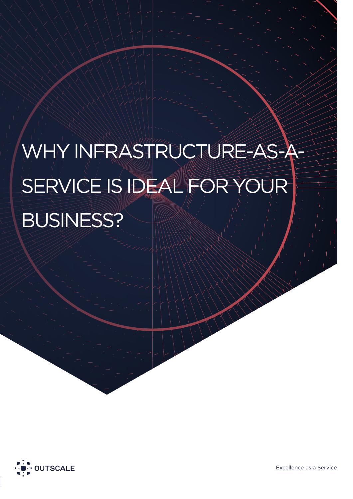# WHY INFRASTRUCTURE-AS-A-SERVICE IS IDEAL FOR YOUR BUSINESS?

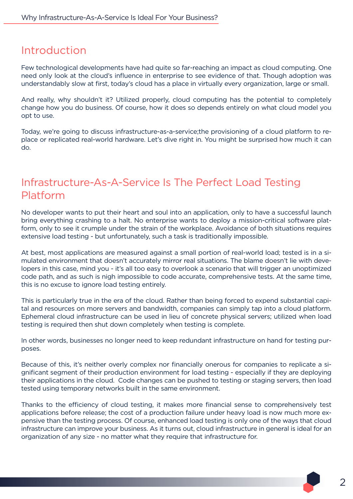#### Introduction

Few technological developments have had quite so far-reaching an impact as cloud computing. One need only look at the cloud's influence in enterprise to see evidence of that. Though adoption was understandably slow at first, today's cloud has a place in virtually every organization, large or small.

And really, why shouldn't it? Utilized properly, cloud computing has the potential to completely change how you do business. Of course, how it does so depends entirely on what cloud model you opt to use.

Today, we're going to discuss infrastructure-as-a-service;the provisioning of a cloud platform to replace or replicated real-world hardware. Let's dive right in. You might be surprised how much it can do.

### Infrastructure-As-A-Service Is The Perfect Load Testing Platform

No developer wants to put their heart and soul into an application, only to have a successful launch bring everything crashing to a halt. No enterprise wants to deploy a mission-critical software platform, only to see it crumple under the strain of the workplace. Avoidance of both situations requires extensive load testing - but unfortunately, such a task is traditionally impossible.

At best, most applications are measured against a small portion of real-world load; tested is in a simulated environment that doesn't accurately mirror real situations. The blame doesn't lie with developers in this case, mind you - it's all too easy to overlook a scenario that will trigger an unoptimized code path, and as such is nigh impossible to code accurate, comprehensive tests. At the same time, this is no excuse to ignore load testing entirely.

This is particularly true in the era of the cloud. Rather than being forced to expend substantial capital and resources on more servers and bandwidth, companies can simply tap into a cloud platform. Ephemeral cloud infrastructure can be used in lieu of concrete physical servers; utilized when load testing is required then shut down completely when testing is complete.

In other words, businesses no longer need to keep redundant infrastructure on hand for testing purposes.

Because of this, it's neither overly complex nor financially onerous for companies to replicate a significant segment of their production environment for load testing - especially if they are deploying their applications in the cloud. Code changes can be pushed to testing or staging servers, then load tested using temporary networks built in the same environment.

Thanks to the efficiency of cloud testing, it makes more financial sense to comprehensively test applications before release; the cost of a production failure under heavy load is now much more expensive than the testing process. Of course, enhanced load testing is only one of the ways that cloud infrastructure can improve your business. As it turns out, cloud infrastructure in general is ideal for an organization of any size - no matter what they require that infrastructure for.

 $\mathcal{P}$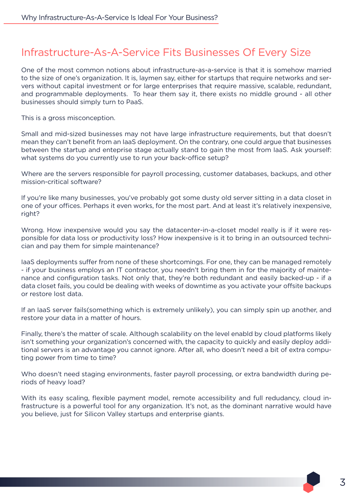#### Infrastructure-As-A-Service Fits Businesses Of Every Size

One of the most common notions about infrastructure-as-a-service is that it is somehow married to the size of one's organization. It is, laymen say, either for startups that require networks and servers without capital investment or for large enterprises that require massive, scalable, redundant, and programmable deployments. To hear them say it, there exists no middle ground - all other businesses should simply turn to PaaS.

This is a gross misconception.

Small and mid-sized businesses may not have large infrastructure requirements, but that doesn't mean they can't benefit from an IaaS deployment. On the contrary, one could argue that businesses between the startup and enteprise stage actually stand to gain the most from IaaS. Ask yourself: what systems do you currently use to run your back-office setup?

Where are the servers responsible for payroll processing, customer databases, backups, and other mission-critical software?

If you're like many businesses, you've probably got some dusty old server sitting in a data closet in one of your offices. Perhaps it even works, for the most part. And at least it's relatively inexpensive, right?

Wrong. How inexpensive would you say the datacenter-in-a-closet model really is if it were responsible for data loss or productivity loss? How inexpensive is it to bring in an outsourced technician and pay them for simple maintenance?

IaaS deployments suffer from none of these shortcomings. For one, they can be managed remotely - if your business employs an IT contractor, you needn't bring them in for the majority of maintenance and configuration tasks. Not only that, they're both redundant and easily backed-up - if a data closet fails, you could be dealing with weeks of downtime as you activate your offsite backups or restore lost data.

If an IaaS server fails(something which is extremely unlikely), you can simply spin up another, and restore your data in a matter of hours.

Finally, there's the matter of scale. Although scalability on the level enabld by cloud platforms likely isn't something your organization's concerned with, the capacity to quickly and easily deploy additional servers is an advantage you cannot ignore. After all, who doesn't need a bit of extra computing power from time to time?

Who doesn't need staging environments, faster payroll processing, or extra bandwidth during periods of heavy load?

With its easy scaling, flexible payment model, remote accessibility and full redudancy, cloud infrastructure is a powerful tool for any organization. It's not, as the dominant narrative would have you believe, just for Silicon Valley startups and enterprise giants.